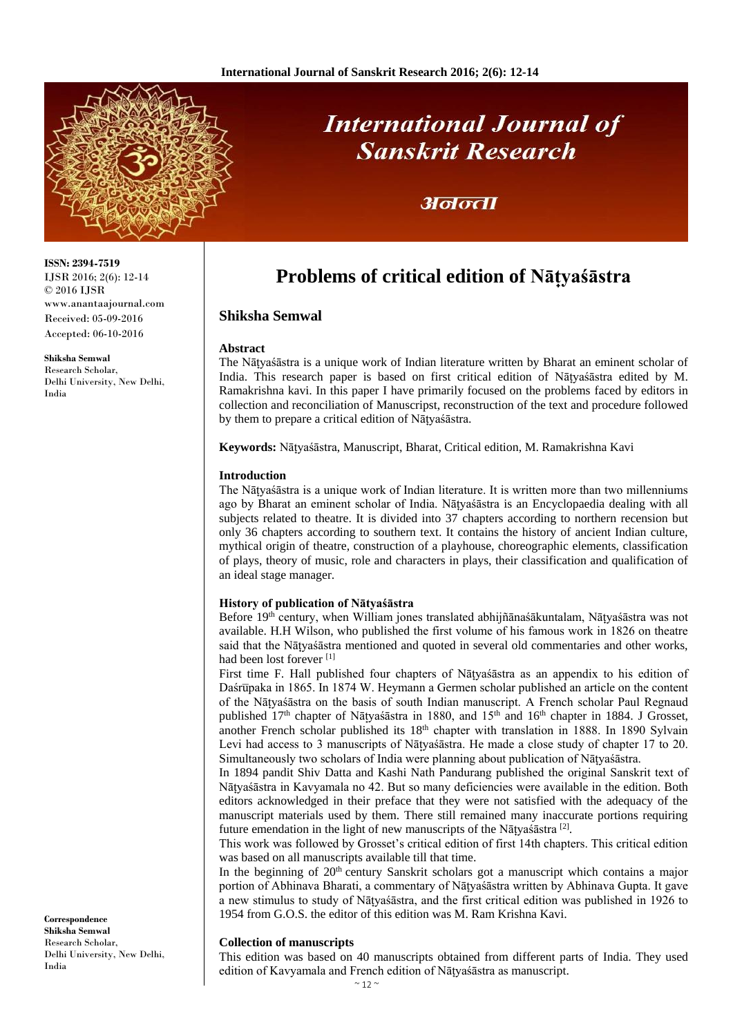

# **International Journal of Sanskrit Research**

### अनन्ता

## **Problems of critical edition of Nāt̟yaśāstra**

#### **Shiksha Semwal**

#### **Abstract**

The Nātvassastra is a unique work of Indian literature written by Bharat an eminent scholar of India. This research paper is based on first critical edition of Natyasastra edited by M. Ramakrishna kavi. In this paper I have primarily focused on the problems faced by editors in collection and reconciliation of Manuscripst, reconstruction of the text and procedure followed by them to prepare a critical edition of Nātyaśāstra.

**Keywords:** Nāt̟yaśāstra, Manuscript, Bharat, Critical edition, M. Ramakrishna Kavi

#### **Introduction**

The Nāt̟yaśāstra is a unique work of Indian literature. It is written more than two millenniums ago by Bharat an eminent scholar of India. Nātyaśāstra is an Encyclopaedia dealing with all subjects related to theatre. It is divided into 37 chapters according to northern recension but only 36 chapters according to southern text. It contains the history of ancient Indian culture, mythical origin of theatre, construction of a playhouse, choreographic elements, classification of plays, theory of music, role and characters in plays, their classification and qualification of an ideal stage manager.

#### **History of publication of Nātyaśāstra**

Before 19<sup>th</sup> century, when William jones translated abhijñānaśākuntalam, Nātyaśāstra was not available. H.H Wilson, who published the first volume of his famous work in 1826 on theatre said that the Nātyaśāstra mentioned and quoted in several old commentaries and other works, had been lost forever [1]

First time F. Hall published four chapters of Nātyasāstra as an appendix to his edition of Daśrūpaka in 1865. In 1874 W. Heymann a Germen scholar published an article on the content of the Nāt̟yaśāstra on the basis of south Indian manuscript. A French scholar Paul Regnaud published 17<sup>th</sup> chapter of Nāṭyaśāstra in 1880, and 15<sup>th</sup> and 16<sup>th</sup> chapter in 1884. J Grosset, another French scholar published its 18<sup>th</sup> chapter with translation in 1888. In 1890 Sylvain Levi had access to 3 manuscripts of Nātyaśāstra. He made a close study of chapter 17 to 20. Simultaneously two scholars of India were planning about publication of Nātyaśāstra.

In 1894 pandit Shiv Datta and Kashi Nath Pandurang published the original Sanskrit text of Nāt̟yaśāstra in Kavyamala no 42. But so many deficiencies were available in the edition. Both editors acknowledged in their preface that they were not satisfied with the adequacy of the manuscript materials used by them. There still remained many inaccurate portions requiring future emendation in the light of new manuscripts of the Nātyaśāstra  $^{[2]}$ .

This work was followed by Grosset's critical edition of first 14th chapters. This critical edition was based on all manuscripts available till that time.

In the beginning of  $20<sup>th</sup>$  century Sanskrit scholars got a manuscript which contains a major portion of Abhinava Bharati, a commentary of Nātyaśāstra written by Abhinava Gupta. It gave a new stimulus to study of Nātyaśāstra, and the first critical edition was published in 1926 to 1954 from G.O.S. the editor of this edition was M. Ram Krishna Kavi.

#### **Collection of manuscripts**

This edition was based on 40 manuscripts obtained from different parts of India. They used edition of Kavyamala and French edition of Nātyaśāstra as manuscript.

**ISSN: 2394-7519** IJSR 2016; 2(6): 12-14 © 2016 IJSR www.anantaajournal.com Received: 05-09-2016 Accepted: 06-10-2016

**Shiksha Semwal** Research Scholar, Delhi University, New Delhi, India

**Correspondence Shiksha Semwal** Research Scholar, Delhi University, New Delhi, India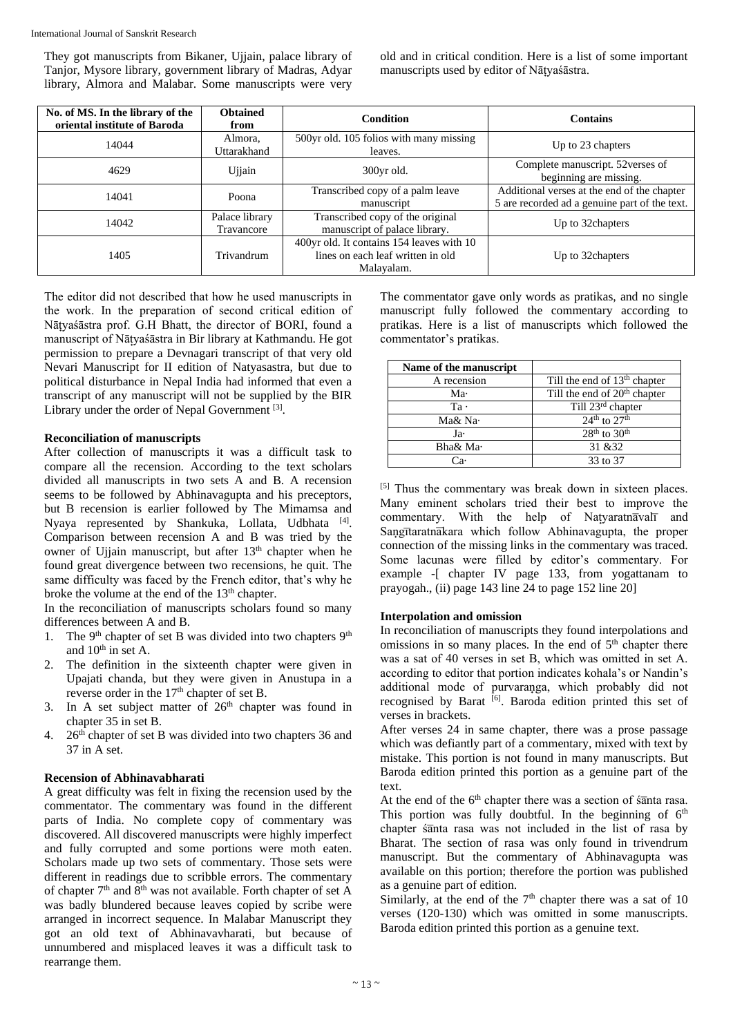They got manuscripts from Bikaner, Ujjain, palace library of Tanjor, Mysore library, government library of Madras, Adyar library, Almora and Malabar. Some manuscripts were very

old and in critical condition. Here is a list of some important manuscripts used by editor of Nātyaśāstra.

| No. of MS. In the library of the<br>oriental institute of Baroda | <b>Obtained</b><br>from      | <b>Condition</b>                                                                             | <b>Contains</b>                                                                              |
|------------------------------------------------------------------|------------------------------|----------------------------------------------------------------------------------------------|----------------------------------------------------------------------------------------------|
| 14044                                                            | Almora.<br>Uttarakhand       | 500yr old. 105 folios with many missing<br>leaves.                                           | Up to 23 chapters                                                                            |
| 4629                                                             | Ujjain                       | 300yr old.                                                                                   | Complete manuscript. 52verses of<br>beginning are missing.                                   |
| 14041                                                            | Poona                        | Transcribed copy of a palm leave<br>manuscript                                               | Additional verses at the end of the chapter<br>5 are recorded ad a genuine part of the text. |
| 14042                                                            | Palace library<br>Travancore | Transcribed copy of the original<br>manuscript of palace library.                            | Up to 32 chapters                                                                            |
| 1405                                                             | Trivandrum                   | 400yr old. It contains 154 leaves with 10<br>lines on each leaf written in old<br>Malavalam. | Up to 32 chapters                                                                            |

The editor did not described that how he used manuscripts in the work. In the preparation of second critical edition of Nātyaśāstra prof. G.H Bhatt, the director of BORI, found a manuscript of Nāt̟yaśāstra in Bir library at Kathmandu. He got permission to prepare a Devnagari transcript of that very old Nevari Manuscript for II edition of Natyasastra, but due to political disturbance in Nepal India had informed that even a transcript of any manuscript will not be supplied by the BIR Library under the order of Nepal Government<sup>[3]</sup>.

#### **Reconciliation of manuscripts**

After collection of manuscripts it was a difficult task to compare all the recension. According to the text scholars divided all manuscripts in two sets A and B. A recension seems to be followed by Abhinavagupta and his preceptors, but B recension is earlier followed by The Mimamsa and Nyaya represented by Shankuka, Lollata, Udbhata <a>[4]</a>. Comparison between recension A and B was tried by the owner of Ujjain manuscript, but after 13<sup>th</sup> chapter when he found great divergence between two recensions, he quit. The same difficulty was faced by the French editor, that's why he broke the volume at the end of the 13<sup>th</sup> chapter.

In the reconciliation of manuscripts scholars found so many differences between A and B.

- 1. The 9<sup>th</sup> chapter of set B was divided into two chapters 9<sup>th</sup> and  $10<sup>th</sup>$  in set A.
- 2. The definition in the sixteenth chapter were given in Upajati chanda, but they were given in Anustupa in a reverse order in the  $17<sup>th</sup>$  chapter of set B.
- 3. In A set subject matter of  $26<sup>th</sup>$  chapter was found in chapter 35 in set B.
- 4. 26<sup>th</sup> chapter of set B was divided into two chapters 36 and 37 in A set.

#### **Recension of Abhinavabharati**

A great difficulty was felt in fixing the recension used by the commentator. The commentary was found in the different parts of India. No complete copy of commentary was discovered. All discovered manuscripts were highly imperfect and fully corrupted and some portions were moth eaten. Scholars made up two sets of commentary. Those sets were different in readings due to scribble errors. The commentary of chapter  $7<sup>th</sup>$  and  $8<sup>th</sup>$  was not available. Forth chapter of set A was badly blundered because leaves copied by scribe were arranged in incorrect sequence. In Malabar Manuscript they got an old text of Abhinavavharati, but because of unnumbered and misplaced leaves it was a difficult task to rearrange them.

The commentator gave only words as pratikas, and no single manuscript fully followed the commentary according to pratikas. Here is a list of manuscripts which followed the commentator's pratikas.

| Name of the manuscript |                                |  |
|------------------------|--------------------------------|--|
| A recension            | Till the end of $13th$ chapter |  |
| Ma·                    | Till the end of $20th$ chapter |  |
| $Ta$ .                 | Till 23 <sup>rd</sup> chapter  |  |
| Ma& Na·                | $24th$ to $27th$               |  |
| Ja·                    | $28th$ to $30th$               |  |
| Bha& Ma·               | 31 & 32                        |  |
| `я.                    | 33 to 37                       |  |

[5] Thus the commentary was break down in sixteen places. Many eminent scholars tried their best to improve the commentary. With the help of Natyaratnavalland Sangītaratnākara which follow Abhinavagupta, the proper connection of the missing links in the commentary was traced. Some lacunas were filled by editor's commentary. For example -[ chapter IV page 133, from yogattanam to prayogah., (ii) page 143 line 24 to page 152 line 20]

#### **Interpolation and omission**

In reconciliation of manuscripts they found interpolations and omissions in so many places. In the end of  $5<sup>th</sup>$  chapter there was a sat of 40 verses in set B, which was omitted in set A. according to editor that portion indicates kohala's or Nandin's additional mode of purvaranga, which probably did not recognised by Barat <sup>[6]</sup>. Baroda edition printed this set of verses in brackets.

After verses 24 in same chapter, there was a prose passage which was defiantly part of a commentary, mixed with text by mistake. This portion is not found in many manuscripts. But Baroda edition printed this portion as a genuine part of the text.

At the end of the 6<sup>th</sup> chapter there was a section of śanta rasa. This portion was fully doubtful. In the beginning of  $6<sup>th</sup>$ chapter *s*anta rasa was not included in the list of rasa by Bharat. The section of rasa was only found in trivendrum manuscript. But the commentary of Abhinavagupta was available on this portion; therefore the portion was published as a genuine part of edition.

Similarly, at the end of the  $7<sup>th</sup>$  chapter there was a sat of 10 verses (120-130) which was omitted in some manuscripts. Baroda edition printed this portion as a genuine text.